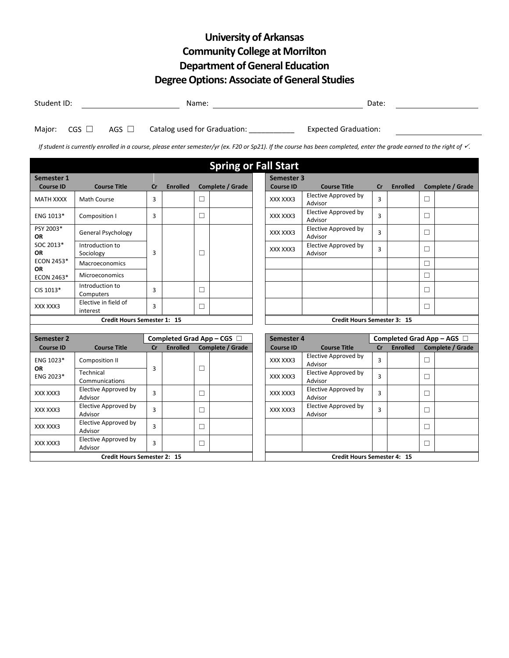## **University of Arkansas Community College at Morrilton Department of General Education Degree Options: Associate of General Studies**

| Student ID: |                        |            | Name:                        | Date:                       |  |  |  |
|-------------|------------------------|------------|------------------------------|-----------------------------|--|--|--|
|             |                        |            |                              |                             |  |  |  |
|             | Major: $CGS$ $\square$ | AGS $\Box$ | Catalog used for Graduation: | <b>Expected Graduation:</b> |  |  |  |

If student is currently enrolled in a course, please enter semester/yr (ex. F20 or Sp21). If the course has been completed, enter the grade earned to the right of √.

| <b>Spring or Fall Start</b>    |                                  |                |                                 |        |                         |                                    |                                             |                                 |                 |        |                         |  |  |
|--------------------------------|----------------------------------|----------------|---------------------------------|--------|-------------------------|------------------------------------|---------------------------------------------|---------------------------------|-----------------|--------|-------------------------|--|--|
| Semester 1                     |                                  |                | Semester 3                      |        |                         |                                    |                                             |                                 |                 |        |                         |  |  |
| <b>Course ID</b>               | <b>Course Title</b>              | Cr             | <b>Enrolled</b>                 |        | Complete / Grade        | <b>Course ID</b>                   | <b>Course Title</b>                         | cr                              | <b>Enrolled</b> |        | Complete / Grade        |  |  |
| <b>MATH XXXX</b>               | <b>Math Course</b>               | 3              |                                 | П      |                         | XXX XXX3                           | Elective Approved by<br>Advisor             | 3                               |                 | П      |                         |  |  |
| ENG 1013*                      | Composition I                    | 3              |                                 | П      |                         | XXX XXX3                           | Elective Approved by<br>Advisor             | $\overline{3}$                  |                 | П      |                         |  |  |
| PSY 2003*<br><b>OR</b>         | General Psychology               |                |                                 |        |                         | XXX XXX3                           | Elective Approved by<br>Advisor             | 3                               |                 | П      |                         |  |  |
| SOC 2013*<br><b>OR</b>         | Introduction to<br>Sociology     | 3              |                                 | □      |                         | XXX XXX3                           | Elective Approved by<br>Advisor             | 3                               |                 | $\Box$ |                         |  |  |
| <b>ECON 2453*</b><br><b>OR</b> | Macroeconomics                   |                |                                 |        |                         |                                    |                                             |                                 |                 | П      |                         |  |  |
| ECON 2463*                     | <b>Microeconomics</b>            |                |                                 |        |                         |                                    |                                             |                                 |                 | П      |                         |  |  |
| CIS 1013*                      | Introduction to<br>Computers     | 3              |                                 | П      |                         |                                    |                                             |                                 |                 | П      |                         |  |  |
| XXX XXX3                       | Elective in field of<br>interest | 3              |                                 | $\Box$ |                         |                                    |                                             |                                 |                 | П      |                         |  |  |
|                                | Credit Hours Semester 1: 15      |                |                                 |        |                         | <b>Credit Hours Semester 3: 15</b> |                                             |                                 |                 |        |                         |  |  |
|                                |                                  |                |                                 |        |                         |                                    |                                             |                                 |                 |        |                         |  |  |
| Semester 2                     |                                  |                | Completed Grad App – CGS $\Box$ |        |                         | Semester 4                         |                                             | Completed Grad App - AGS $\Box$ |                 |        |                         |  |  |
| <b>Course ID</b>               | <b>Course Title</b>              | cr             | <b>Enrolled</b>                 |        | <b>Complete / Grade</b> | <b>Course ID</b>                   | <b>Course Title</b><br>Elective Approved by | cr                              | <b>Enrolled</b> |        | <b>Complete / Grade</b> |  |  |
| ENG 1023*<br>OR                | Composition II                   | 3              |                                 | □      |                         | XXX XXX3                           | Advisor                                     | 3                               |                 | П      |                         |  |  |
| ENG 2023*                      | Technical<br>Communications      |                |                                 |        |                         |                                    |                                             |                                 |                 |        |                         |  |  |
|                                |                                  |                |                                 |        |                         | XXX XXX3                           | Elective Approved by<br>Advisor             | 3                               |                 | П      |                         |  |  |
| XXX XXX3                       | Elective Approved by<br>Advisor  | 3              |                                 | П      |                         | XXX XXX3                           | Elective Approved by<br>Advisor             | 3                               |                 | П      |                         |  |  |
| XXX XXX3                       | Elective Approved by<br>Advisor  | 3              |                                 | □      |                         | XXX XXX3                           | Elective Approved by<br>Advisor             | 3                               |                 | $\Box$ |                         |  |  |
| XXX XXX3                       | Elective Approved by<br>Advisor  | 3              |                                 | □      |                         |                                    |                                             |                                 |                 | $\Box$ |                         |  |  |
| XXX XXX3                       | Elective Approved by<br>Advisor  | $\overline{3}$ |                                 | П      |                         |                                    |                                             |                                 |                 | $\Box$ |                         |  |  |